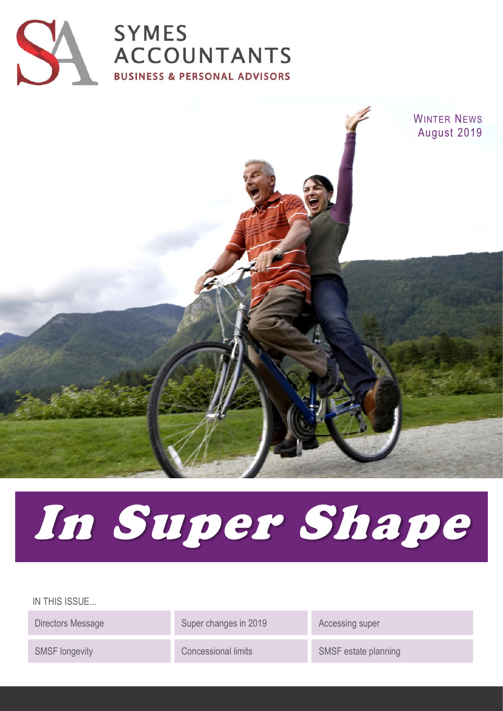



# In Super Shape

# IN THIS ISSUE...

Directors Message Super changes in 2019 Accessing super

SMSF longevity Concessional limits SMSF estate planning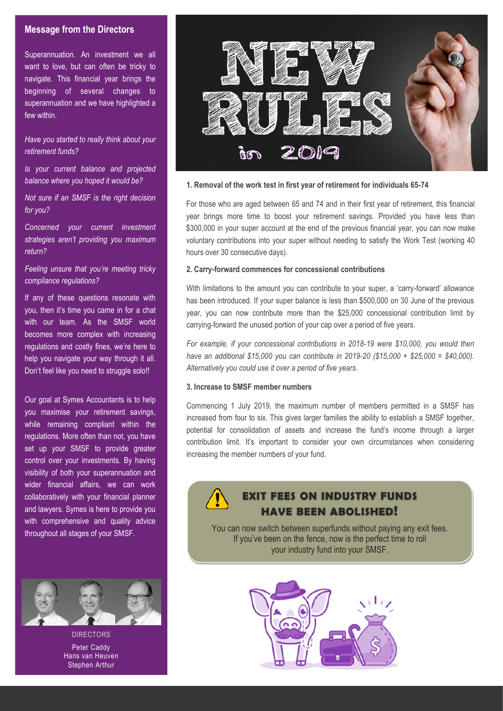# **Message from the Directors**

Superannuation. An investment we all want to love, but can often be tricky to navigate. This financial year brings the beginning of several changes to superannuation and we have highlighted a few within.

*Have you started to really think about your retirement funds?*

*Is your current balance and projected balance where you hoped it would be?* 

*Not sure if an SMSF is the right decision for you?*

*Concerned your current investment strategies aren't providing you maximum return?*

*Feeling unsure that you're meeting tricky compliance regulations?*

If any of these questions resonate with you, then it's time you came in for a chat with our team. As the SMSF world becomes more complex with increasing regulations and costly fines, we're here to help you navigate your way through it all. Don't feel like you need to struggle solo!!

Our goal at Symes Accountants is to help you maximise your retirement savings, while remaining compliant within the regulations. More often than not, you have set up your SMSF to provide greater control over your investments. By having visibility of both your superannuation and wider financial affairs, we can work collaboratively with your financial planner and lawyers. Symes is here to provide you with comprehensive and quality advice throughout all stages of your SMSF.



DIRECTORS Peter Caddy Hans van Heuven Stephen Arthur



## **1. Removal of the work test in first year of retirement for individuals 65-74**

For those who are aged between 65 and 74 and in their first year of retirement, this financial year brings more time to boost your retirement savings. Provided you have less than \$300,000 in your super account at the end of the previous financial year, you can now make voluntary contributions into your super without needing to satisfy the Work Test (working 40 hours over 30 consecutive days).

### **2. Carry-forward commences for concessional contributions**

With limitations to the amount you can contribute to your super, a 'carry-forward' allowance has been introduced. If your super balance is less than \$500,000 on 30 June of the previous year, you can now contribute more than the \$25,000 concessional contribution limit by carrying-forward the unused portion of your cap over a period of five years.

*For example, if your concessional contributions in 2018-19 were \$10,000, you would then have an additional \$15,000 you can contribute in 2019-20 (\$15,000 + \$25,000 = \$40,000). Alternatively you could use it over a period of five years.*

# **3. Increase to SMSF member numbers**

Commencing 1 July 2019, the maximum number of members permitted in a SMSF has increased from four to six. This gives larger families the ability to establish a SMSF together, potential for consolidation of assets and increase the fund's income through a larger contribution limit. It's important to consider your own circumstances when considering increasing the member numbers of your fund.



# **EXIT FEES ON INDUSTRY FUNDS HAVE BEEN ABOLISHED!**

You can now switch between superfunds without paying any exit fees. If you've been on the fence, now is the perfect time to roll your industry fund into your SMSF.

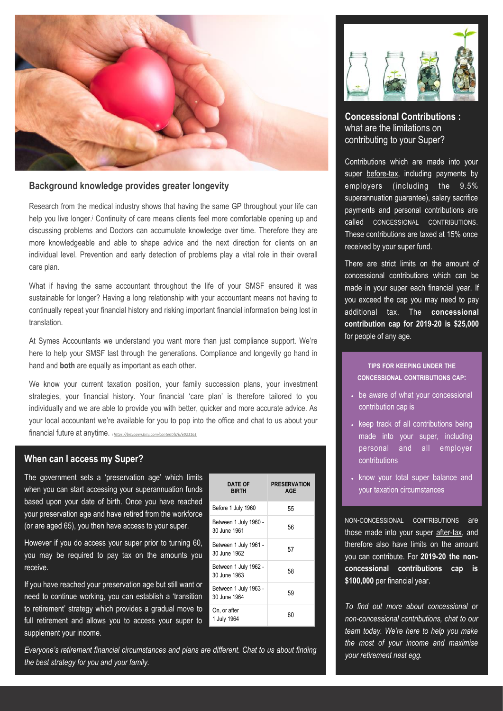

# **Background knowledge provides greater longevity**

Research from the medical industry shows that having the same GP throughout your life can help you live longer.<sup>i</sup> Continuity of care means clients feel more comfortable opening up and discussing problems and Doctors can accumulate knowledge over time. Therefore they are more knowledgeable and able to shape advice and the next direction for clients on an individual level. Prevention and early detection of problems play a vital role in their overall care plan.

What if having the same accountant throughout the life of your SMSF ensured it was sustainable for longer? Having a long relationship with your accountant means not having to continually repeat your financial history and risking important financial information being lost in translation.

At Symes Accountants we understand you want more than just compliance support. We're here to help your SMSF last through the generations. Compliance and longevity go hand in hand and **both** are equally as important as each other.

We know your current taxation position, your family succession plans, your investment strategies, your financial history. Your financial 'care plan' is therefore tailored to you individually and we are able to provide you with better, quicker and more accurate advice. As your local accountant we're available for you to pop into the office and chat to us about your financial future at anytime. i *<https://bmjopen.bmj.com/content/8/6/e021161>*

# **When can I access my Super?**

The government sets a 'preservation age' which limits when you can start accessing your superannuation funds based upon your date of birth. Once you have reached your preservation age and have retired from the workforce (or are aged 65), you then have access to your super.

However if you do access your super prior to turning 60, you may be required to pay tax on the amounts you receive.

If you have reached your preservation age but still want or need to continue working, you can establish a 'transition to retirement' strategy which provides a gradual move to full retirement and allows you to access your super to supplement your income.

| <b>DATE OF</b><br><b>BIRTH</b>        | <b>PRESERVATION</b><br><b>AGE</b> |
|---------------------------------------|-----------------------------------|
| Before 1 July 1960                    | 55                                |
| Between 1 July 1960 -<br>30 June 1961 | 56                                |
| Between 1 July 1961 -<br>30 June 1962 | 57                                |
| Between 1 July 1962 -<br>30 June 1963 | 58                                |
| Between 1 July 1963 -<br>30 June 1964 | 59                                |
| On, or after<br>1 July 1964           | 60                                |

*Everyone's retirement financial circumstances and plans are different. Chat to us about finding the best strategy for you and your family.*



**Concessional Contributions :**  what are the limitations on contributing to your Super?

Contributions which are made into your super before-tax, including payments by employers (including the 9.5% superannuation guarantee), salary sacrifice payments and personal contributions are called CONCESSIONAL CONTRIBUTIONS. These contributions are taxed at 15% once received by your super fund.

There are strict limits on the amount of concessional contributions which can be made in your super each financial year. If you exceed the cap you may need to pay additional tax. The **concessional contribution cap for 2019-20 is \$25,000**  for people of any age.

**TIPS FOR KEEPING UNDER THE CONCESSIONAL CONTRIBUTIONS CAP:**

- be aware of what your concessional contribution cap is
- keep track of all contributions being made into your super, including personal and all employer contributions
- know your total super balance and your taxation circumstances

NON-CONCESSIONAL CONTRIBUTIONS are those made into your super after-tax, and therefore also have limits on the amount you can contribute. For **2019-20 the nonconcessional contributions cap is \$100,000** per financial year.

*To find out more about concessional or non-concessional contributions, chat to our team today. We're here to help you make the most of your income and maximise your retirement nest egg.*